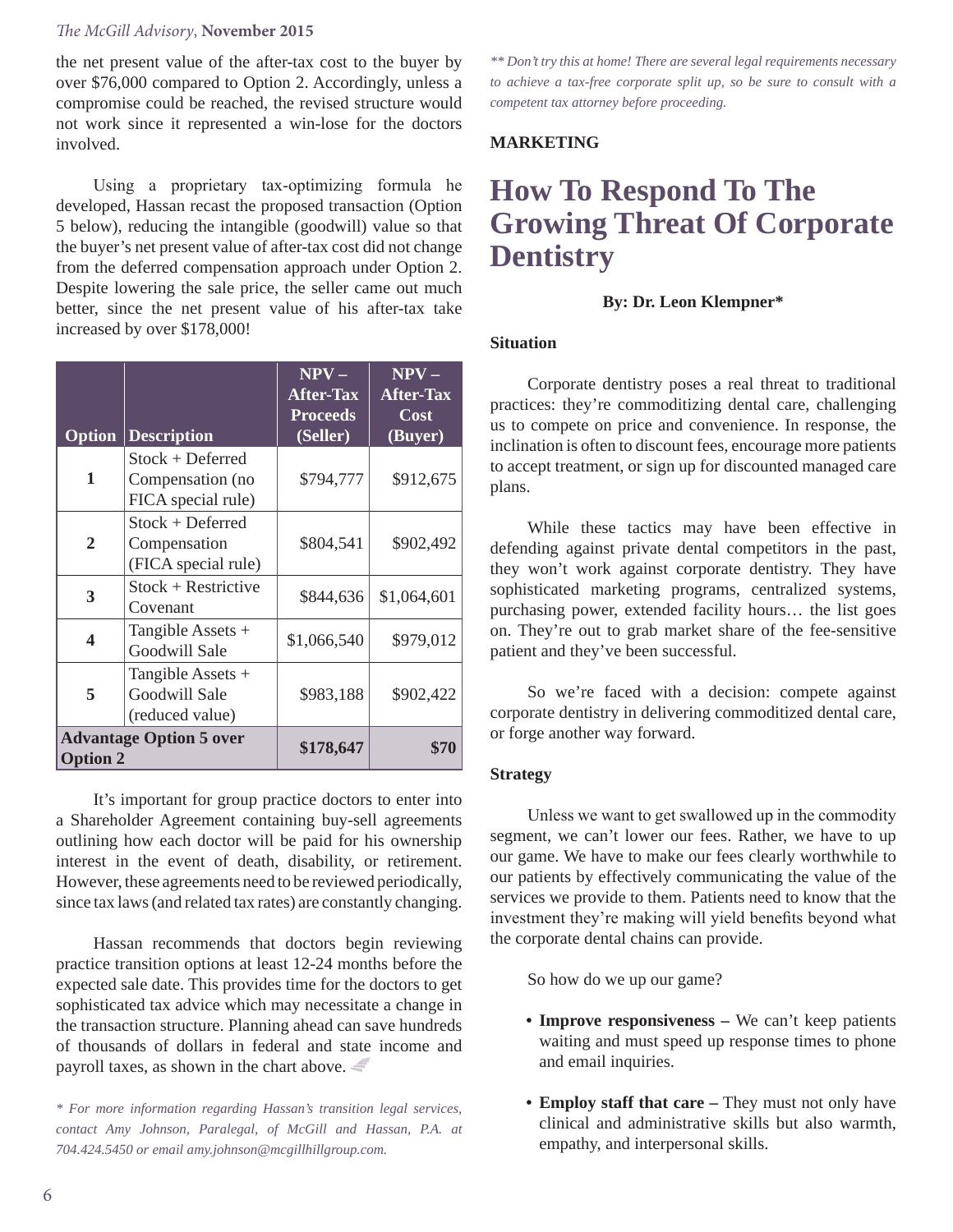#### *The McGill Advisory*, **November 2015**

the net present value of the after-tax cost to the buyer by over \$76,000 compared to Option 2. Accordingly, unless a compromise could be reached, the revised structure would not work since it represented a win-lose for the doctors involved.

Using a proprietary tax-optimizing formula he developed, Hassan recast the proposed transaction (Option 5 below), reducing the intangible (goodwill) value so that the buyer's net present value of after-tax cost did not change from the deferred compensation approach under Option 2. Despite lowering the sale price, the seller came out much better, since the net present value of his after-tax take increased by over \$178,000!

|                                                   |                                                              | $NPV -$<br><b>After-Tax</b><br><b>Proceeds</b> | $NPV -$<br><b>After-Tax</b><br>Cost |
|---------------------------------------------------|--------------------------------------------------------------|------------------------------------------------|-------------------------------------|
| Option                                            | <b>Description</b>                                           | (Seller)                                       | (Buyer)                             |
| 1                                                 | $Stock + Deferred$<br>Compensation (no<br>FICA special rule) | \$794,777                                      | \$912,675                           |
| $\mathbf{2}$                                      | Stock + Deferred<br>Compensation<br>(FICA special rule)      | \$804,541                                      | \$902,492                           |
| 3                                                 | Stock + Restrictive<br>Covenant                              | \$844,636                                      | \$1,064,601                         |
| $\boldsymbol{4}$                                  | Tangible Assets +<br>Goodwill Sale                           | \$1,066,540                                    | \$979,012                           |
| 5                                                 | Tangible Assets +<br>Goodwill Sale<br>(reduced value)        | \$983,188                                      | \$902,422                           |
| <b>Advantage Option 5 over</b><br><b>Option 2</b> |                                                              | \$178,647                                      | \$70                                |

It's important for group practice doctors to enter into a Shareholder Agreement containing buy-sell agreements outlining how each doctor will be paid for his ownership interest in the event of death, disability, or retirement. However, these agreements need to be reviewed periodically, since tax laws (and related tax rates) are constantly changing.

Hassan recommends that doctors begin reviewing practice transition options at least 12-24 months before the expected sale date. This provides time for the doctors to get sophisticated tax advice which may necessitate a change in the transaction structure. Planning ahead can save hundreds of thousands of dollars in federal and state income and payroll taxes, as shown in the chart above.

*\* For more information regarding Hassan's transition legal services, contact Amy Johnson, Paralegal, of McGill and Hassan, P.A. at 704.424.5450 or email amy.johnson@mcgillhillgroup.com.*

*\*\* Don't try this at home! There are several legal requirements necessary to achieve a tax-free corporate split up, so be sure to consult with a competent tax attorney before proceeding.*

## **MARKETING**

# **How To Respond To The Growing Threat Of Corporate Dentistry**

## **By: Dr. Leon Klempner\***

## **Situation**

Corporate dentistry poses a real threat to traditional practices: they're commoditizing dental care, challenging us to compete on price and convenience. In response, the inclination is often to discount fees, encourage more patients to accept treatment, or sign up for discounted managed care plans.

While these tactics may have been effective in defending against private dental competitors in the past, they won't work against corporate dentistry. They have sophisticated marketing programs, centralized systems, purchasing power, extended facility hours… the list goes on. They're out to grab market share of the fee-sensitive patient and they've been successful.

So we're faced with a decision: compete against corporate dentistry in delivering commoditized dental care, or forge another way forward.

## **Strategy**

Unless we want to get swallowed up in the commodity segment, we can't lower our fees. Rather, we have to up our game. We have to make our fees clearly worthwhile to our patients by effectively communicating the value of the services we provide to them. Patients need to know that the investment they're making will yield benefits beyond what the corporate dental chains can provide.

So how do we up our game?

- **Improve responsiveness** We can't keep patients waiting and must speed up response times to phone and email inquiries.
- **Employ staff that care –** They must not only have clinical and administrative skills but also warmth, empathy, and interpersonal skills.